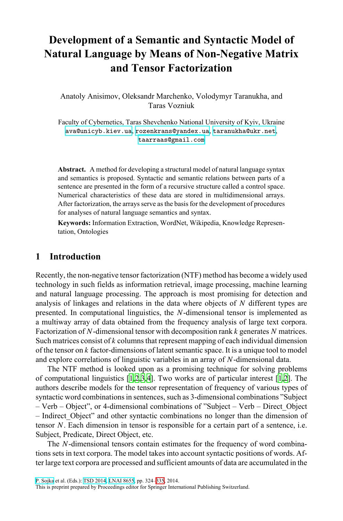# **Development of a [Semantic and S](mailto:taarraas@gmail.com)yntactic Model of Natural Language by Means of Non-Negative Matrix and Tensor Factorization**

Anatoly Anisimov, Oleksandr Marchenko, Volodymyr Taranukha, and Taras Vozniuk

Faculty of Cybernetics, Taras Shevchenko National University of Kyiv, Ukraine ava@unicyb.kiev.ua, rozenkrans@yandex.ua, taranukha@ukr.net, taarraas@gmail.com

**Abstract.** A method for developing a structural model of natural language syntax and semantics is proposed. Syntactic and semantic relations between parts of a sentence are presented in the form of a recursive structure called a control space. Numerical characteristics of these data are stored in multidimensional arrays. After factorization, the arrays serve as the basis for the development of procedures for analyses of natural language semantics and syntax.

**Keywords:** Information Extraction, WordNet, Wikipedia, Knowledge Representation, Ontologies

# **1 Introduction**

Recently, the non-negative ten[s](#page-10-0)[or](#page-10-1) [fa](#page-10-2)[ct](#page-10-3)orization (NTF) method has become a w[id](#page-10-0)[ely](#page-10-1) used technology in such fields as information retrieval, image processing, machine learning and natural language processing. The approach is most promising for detection and analysis of linkages and relations in the data where objects of *N* different types are presented. In computational linguistics, the *N*-dimensional tensor is implemented as a multiway array of data obtained from the frequency analysis of large text corpora. Factorization of *N*-dimensional tensor with decomposition rank *k* generates *N* matrices. Such matrices consist of *k* columns that represent mapping of each individual dimension of the tensor on *k* factor-dimensions of latent semantic space. It is a unique tool to model and explore correlations of linguistic variables in an array of *N*-dimensional data.

The NTF method is looked upon as a promising technique for solving problems [of com](http://www.fi.muni.cz/usr/sojka/)putatio[nal lingu](http://www.tsdconference.org/tsd2014/)[istics \[1,](http://www.springer.com/computer/ai/book/978-3-319-10815-5)2,3,4]. [Tw](#page-10-4)o works are of particular interest [1,2]. The authors describe models for the tensor representation of frequency of various types of syntactic word combinations in sentences, such as 3-dimensional combinations "Subject – Verb – Object", or 4-dimensional combinations of "Subject – Verb – Direct\_Object – Indirect\_Object" and other syntactic combinations no longer than the dimension of tensor *N*. Each dimension in tensor is responsible for a certain part of a sentence, i.e. Subject, Predicate, Direct Object, etc.

The *N*-dimensional tensors contain estimates for the frequency of word combinations sets in text corpora. The model takes into account syntactic positions of words. After large text corpora are processed and sufficient amounts of data are accumulated in the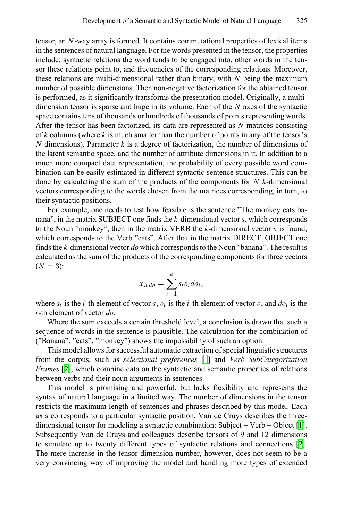tensor, an *N*-way array is formed. It contains commutational properties of lexical items in the sentences of natural language. For the words presented in the tensor, the properties include: syntactic relations the word tends to be engaged into, other words in the tensor these relations point to, and frequencies of the corresponding relations. Moreover, these relations are multi-dimensional rather than binary, with *N* being the maximum number of possible dimensions. Then non-negative factorization for the obtained tensor is performed, as it significantly transforms the presentation model. Originally, a multidimension tensor is sparse and huge in its volume. Each of the *N* axes of the syntactic space contains tens of thousands or hundreds of thousands of points representing words. After the tensor has been factorized, its data are represented as *N* matrices consisting of *k* columns (where *k* is much smaller than the number of points in any of the tensor's *N* dimensions). Parameter *k* is a degree of factorization, the number of dimensions of the latent semantic space, and the number of attribute dimensions in it. In addition to a much more compact data representation, the probability of every possible word combination can be easily estimated in different syntactic sentence structures. This can be done by calculating the sum of the products of the components for *N k*-dimensional vectors corresponding to the words chosen from the matrices corresponding, in turn, to their syntactic positions.

For example, one needs to test how feasible is the sentence "The monkey eats banana", in the matrix SUBJECT one finds the *k*-dimensional vector *s*, which corresponds to the Noun "monkey", then in the matrix VERB the  $k$ -dimensional vector  $v$  is found, which corresponds to the Verb "eats". After that in the matrix DIRECT\_OBJECT one finds the *k*-dimensional vector *do* which corresponds to the Noun "banana". The result is calculated as the sum of the products of the correspon[din](#page-10-0)g components for three vectors  $(N = 3)$ :

$$
x_{\text{subo}} = \sum_{i=1}^k s_i v_i \, \text{do}_i,
$$

where  $s_i$  is the *i*-th element of vector *s*,  $v_i$  is the *i*-th element of vector *v*, and  $do_i$  is the *i*-th element of vector *do*.

Where the sum exceeds a certain threshold level, a conclusion is drawn that suc[h](#page-10-0) a sequence of words in the sentence is plausible. The calculation for the combination of ("Banana", "eats", "monkey") shows the impossibility of such an option.

This model allows for successful automatic extraction of special linguistic structu[re](#page-10-1)s from the corpus, such as *selectional preferences* [1] and *Verb SubCategorization Frames* [2], which combine data on the syntactic and semantic properties of relations between verbs and their noun arguments in sentences.

This model is promising and powerful, but lacks flexibility and represents the syntax of natural language in a limited way. The number of dimensions in the tensor restricts the maximum length of sentences and phrases described by this model. Each axis corresponds to a particular syntactic position. Van de Cruys describes the threedimensional tensor for modeling a syntactic combination: Subject – Verb – Object [1]. Subsequently Van de Cruys and colleagues describe tensors of 9 and 12 dimensions to simulate up to twenty different types of syntactic relations and connections [2]. The mere increase in the tensor dimension number, however, does not seem to be a very convincing way of improving the model and handling more types of extended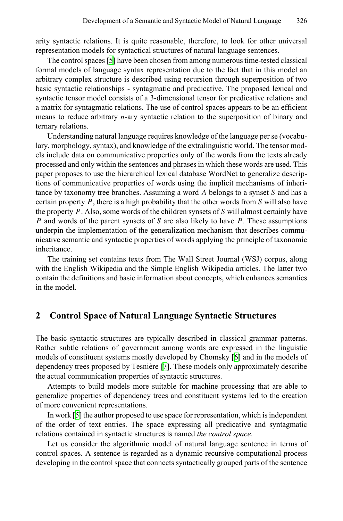arity syntactic relations. It is quite reasonable, therefore, to look for other universal representation models for syntactical structures of natural language sentences.

The control spaces [5] have been chosen from among numerous time-tested classical formal models of language syntax representation due to the fact that in this model an arbitrary complex structure is described using recursion through superposition of two basic syntactic relationships - syntagmatic and predicative. The proposed lexical and syntactic tensor model consists of a 3-dimensional tensor for predicative relations and a matrix for syntagmatic relations. The use of control spaces appears to be an efficient means to reduce arbitrary *n*-ary syntactic relation to the superposition of binary and ternary relations.

Understanding natural language requires knowledge of the language per se (vocabulary, morphology, syntax), and knowledge of the extralinguistic world. The tensor models include data on communicative properties only of the words from the texts already processed and only within the sentences and phrases in which these words are used. This paper proposes to use the hierarchical lexical database WordNet to generalize descriptions of communicative properties of words using the implicit mechanisms of inheritance by taxonomy tree branches. Assuming a word *A* belongs to a synset *S* and has a certain property *P*, there is a high probability that the other words from *S* will also have the property *P*. Also, some words of the children synsets of *S* will almost certainly have *P* and words of the parent synsets of *S* are also likely to have *P*. These assumptions underpin the implementation of the generalization mechanism that describes communicative semantic and syntactic properties of words applying the principle of taxonomic inheritance.

The training set contains texts from The Wall Street Journ[al](#page-10-5) (WSJ) corpus, along with the English Wikipedia and the Sim[pl](#page-10-6)e English Wikipedia articles. The latter two contain the definitions and basic information about concepts, which enhances semantics in the model.

# **2 Contr[ol](#page-10-7) Space of Natural Language Syntactic Structures**

The basic syntactic structures are typically described in classical grammar patterns. Rather subtle relations of government among words are expressed in the linguistic models of constituent systems mostly developed by Chomsky [6] and in the models of dependency trees proposed by Tesnière [7]. These models only approximately describe the actual communication properties of syntactic structures.

Attempts to build models more suitable for machine processing that are able to generalize properties of dependency trees and constituent systems led to the creation of more convenient representations.

In work [5] the author proposed to use space for representation, which is independent of the order of text entries. The space expressing all predicative and syntagmatic relations contained in syntactic structures is named *the control space*.

Let us consider the algorithmic model of natural language sentence in terms of control spaces. A sentence is regarded as a dynamic recursive computational process developing in the control space that connects syntactically grouped parts of the sentence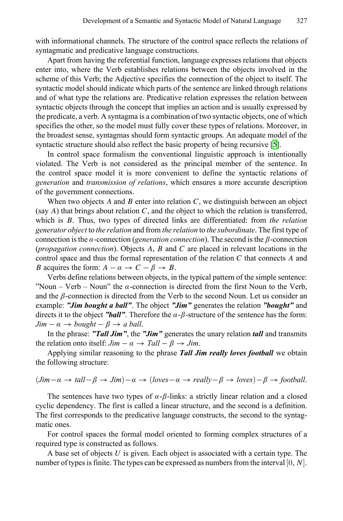with informational channels. The structure of the control space reflects the [re](#page-10-7)lations of syntagmatic and predicative language constructions.

Apart from having the referential function, language expresses relations that objects enter into, where the Verb establishes relations between the objects involved in the scheme of this Verb; the Adjective specifies the connection of the object to itself. The syntactic model should indicate which parts of the sentence are linked through relations and of what type the relations are. Predicative relation expresses the relation between syntactic objects through the concept that implies an action and is usually expressed by the predicate, a verb. A syntagma is a combination of two syntactic objects, one of which specifies the other, so the model must fully cover these types of relations. Moreover, in the broadest sense, syntagmas should form syntactic groups. An adequate model of the syntactic structure should also reflect the basic property of being recursive [5].

In control space formalism the conventional linguistic approach is intentionally violated. The Verb is not considered as the principal member of the sentence. In the control space model it is more convenient to define the syntactic relations of *generation* and *transmission of relations*, which ensures a more accurate description of the government connections.

When two objects *A* and *B* enter into relation *C*, we distinguish between an object (say *A*) that brings about relation *C*, and the object to which the relation is transferred, which is *B*. Thus, two types of directed links are differentiated: from *the relation generator object* to *the relation* and from *the relation* to *the subordinate*. The first type of connection is the *α*-connection (*generation connection*). The second is the *β*-connection (*propagation connection*). Objects *A*, *B* and *C* are placed in relevant locations in the control space and thus the formal representation of the relation *C* that connects *A* and *B* acquires the form:  $A - \alpha \rightarrow C - \beta \rightarrow B$ .

Verbs define relations between objects, in the typical pattern of the simple sentence: "Noun – Verb – Noun" the  $\alpha$ -connection is directed from the first Noun to the Verb, and the *β*-connection is directed from the Verb to the second Noun. Let us consider an example: *"Jim bought a ball"*. The object *"Jim"* generates the relation *"bought"* and directs it to the object *"ball"*. Therefore the *α*-*β*-structure of the sentence has the form:  $Jim - \alpha \rightarrow bought - \beta \rightarrow a \, ball.$ 

In the phrase: *"Tall Jim"*, the *"Jim"* generates the unary relation *tall* and transmits the relation onto itself:  $Jim - \alpha \rightarrow Tall - \beta \rightarrow Jim$ .

Applying similar reasoning to the phrase *Tall Jim really loves football* we obtain the following structure:

## (*Jim*−*α* → *tall*−*β* → *Jim*)−*α* → (*loves*−*α* → *really*−*β* → *loves*)−*β* → *football*.

The sentences have two types of  $\alpha$ -*β*-links: a strictly linear relation and a closed cyclic dependency. The first is called a linear structure, and the second is a definition. The first corresponds to the predicative language constructs, the second to the syntagmatic ones.

For control spaces the formal model oriented to forming complex structures of a required type is constructed as follows.

A base set of objects *U* is given. Each object is associated with a certain type. The number of types is finite. The types can be expressed as numbers from the interval [0*, N*].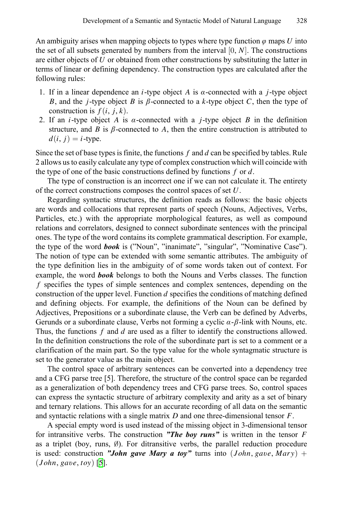An ambiguity arises when mapping objects to types where type function  $\varphi$  maps  $U$  into the set of all subsets generated by numbers from the interval [0*, N*]. The constructions are either objects of *U* or obtained from other constructions by substituting the latter in terms of linear or defining dependency. The construction types are calculated after the following rules:

- 1. If in a linear dependence an *i*-type object *A* is *α*-connected with a *j*-type object *B*, and the *j*-type object *B* is  $\beta$ -connected to a *k*-type object *C*, then the type of construction is  $f(i, j, k)$ .
- 2. If an *i*-type object *A* is *α*-connected with a *j*-type object *B* in the definition structure, and *B* is  $\beta$ -connected to *A*, then the entire construction is attributed to  $d(i, j) = i$ -type.

Since the set of base types is finite, the functions *f* and *d* can be specified by tables. Rule 2 allows us to easily calculate any type of complex construction which will coincide with the type of one of the basic constructions defined by functions *f* or *d*.

The type of construction is an incorrect one if we can not calculate it. The entirety of the correct constructions composes the control spaces of set *U*.

Regarding syntactic structures, the definition reads as follows: the basic objects are words and collocations that represent parts of speech (Nouns, Adjectives, Verbs, Particles, etc.) with the appropriate morphological features, as well as compound relations and correlators, designed to connect subordinate sentences with the principal ones. The type of the word contains its complete grammatical description. For example, the type of the word *book* is ("Noun", "inanimate", "singular", "Nominative Case"). The notion of type can be extended with some semantic attributes. The ambiguity of the type definition lies in the ambiguity of of some words taken out of context. For example, the word *book* belongs to both the Nouns and Verbs classes. The function *f* specifies the types of simple sentences and complex sentences, depending on the construction of the upper level. Function *d* specifies the conditions of matching defined and defining objects. For example, the definitions of the Noun can be defined by Adjectives, Prepositions or a subordinate clause, the Verb can be defined by Adverbs, Gerunds or a subordinate clause, Verbs not forming a cyclic *α*-*β*-link with Nouns, etc. Thus, the functions *f* and *d* are used as a filter to identify the constructions allowed. In the definition constructions the role of the subordinate part is set to a comment or a clarification of the main part. So the type value for the whole syntagmatic structure is set to the generator [va](#page-10-7)lue as the main object.

The control space of arbitrary sentences can be converted into a dependency tree and a CFG parse tree [5]. Therefore, the structure of the control space can be regarded as a generalization of both dependency trees and CFG parse trees. So, control spaces can express the syntactic structure of arbitrary complexity and arity as a set of binary and ternary relations. This allows for an accurate recording of all data on the semantic and syntactic relations with a single matrix *D* and one three-dimensional tensor *F*.

A special empty word is used instead of the missing object in 3-dimensional tensor for intransitive verbs. The construction *"The boy runs"* is written in the tensor *F* as a triplet (boy, runs, ∅). For ditransitive verbs, the parallel reduction procedure is used: construction *"John gave Mary a toy"* turns into  $(John, gave, Mary)$  + (*J ohn, gave, toy*) [5].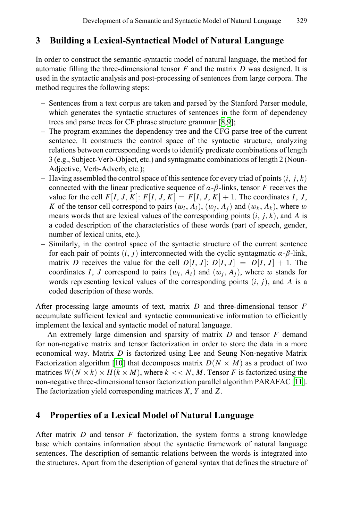### **3 Building a Lexical-Syntactical Model of Natural Language**

In order to construct the semantic-syntactic model of natural language, the method for automatic filling the three-dimensional tensor  $F$  and the matrix  $D$  was designed. It is used in the syntactic analysis and post-processing of sentences from large corpora. The method requires the following steps:

- **–** Sentences from a text corpus are taken and parsed by the Stanford Parser module, which generates the syntactic structures of sentences in the form of dependency trees and parse trees for CF phrase structure grammar [8,9];
- **–** The program examines the dependency tree and the CFG parse tree of the current sentence. It constructs the control space of the syntactic structure, analyzing relations between corresponding words to identify predicate combinations of length 3 (e.g., Subject-Verb-Object, etc.) and syntagmatic combinations of length 2 (Noun-Adjective, Verb-Adverb, etc.);
- $-$  Having assembled the control space of this sentence for every triad of points  $(i, j, k)$ connected with the linear predicative sequence of  $\alpha$ - $\beta$ -links, tensor *F* receives the value for the cell  $F[I, J, K]$ :  $F[I, J, K] = F[I, J, K] + 1$ . The coordinates *I*, *J*, *K* of the tensor cell correspond to pairs  $(w_i, A_i)$ ,  $(w_i, A_i)$  and  $(w_k, A_k)$ , where *w* means words that are lexical values of the corresponding points  $(i, j, k)$ , and A is a coded description of the characteristics of these words (part of speech, gender, number of lexical units, etc.).
- **–** Similarly, in the control space of the syntactic structure of the current sentence for each pair of points  $(i, j)$  interconnected with the cyclic syntagmatic  $\alpha$ - $\beta$ -link, matrix*D* receives t[he](#page-10-10) value for the cell  $D[I, J]$ :  $D[I, J] = D[I, J] + 1$ . The coordinates *I*, *J* correspond to pairs  $(w_i, A_i)$  and  $(w_i, A_j)$ , where *w* stands for words representing lexical values of the corresponding points  $(i, j)$ , and *A* [is](#page-10-11) a coded description of these words.

After processing large amounts of text, matrix *D* and three-dimensional tensor *F* accumulate sufficient lexical and syntactic communicative information to efficiently implement the lexical and syntactic model of natural language.

An extremely large dimension and sparsity of matrix *D* and tensor *F* demand for non-negative matrix and tensor factorization in order to store the data in a more economical way. Matrix *D* is factorized using Lee and Seung Non-negative Matrix Factorization algorithm [10] that decomposes matrix  $D(N \times M)$  as a product of two matrices  $W(N \times k) \times H(k \times M)$ , where  $k \ll N$ , M. Tensor *F* is factorized using the non-negative three-dimensional tensor factorization parallel algorithm PARAFAC [11]. The factorization yield corresponding matrices *X*, *Y* and *Z*.

### **4 Properties of a Lexical Model of Natural Language**

After matrix *D* and tensor *F* factorization, the system forms a strong knowledge base which contains information about the syntactic framework of natural language sentences. The description of semantic relations between the words is integrated into the structures. Apart from the description of general syntax that defines the structure of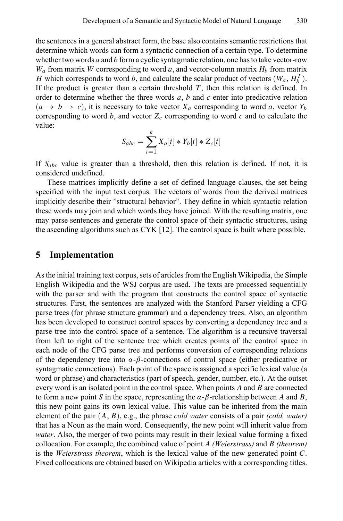the sentences in a general abstract form, the base also contains semantic restrictions that determine which words can form a syntactic connection of a certain type. To determine whether two words *a* and *b* form a cyclic syntagmatic relation, one has to take vector-row  $W_a$  from matrix *W* corresponding to word *a*, and vector-column matrix  $H_b$  from matrix *H* which corresponds to word *b*, and calculate the scalar product of vectors  $(W_a, H_b^T)$ . If the product is greater than a certain threshold  $T$ , then this relation is defined. In order to determine whether the three words  $a, b$  and  $c$  enter into predicative relation  $(a \rightarrow b \rightarrow c)$ , it is necessary to take vector  $X_a$  corresponding to word *a*, vector  $Y_b$ corresponding to word  $b$ , and vector  $Z_c$  corresponding to word  $c$  and to calculate the value:

$$
S_{abc} = \sum_{i=1}^{k} X_a[i] * Y_b[i] * Z_c[i]
$$

If *Sabc* value is greater than a threshold, then this relation is defined. If not, it is considered undefined.

These matrices implicitly define a set of defined language clauses, the set being specified with the input text corpus. The vectors of words from the derived matrices implicitly describe their "structural behavior". They define in which syntactic relation these words may join and which words they have joined. With the resulting matrix, one may parse sentences and generate the control space of their syntactic structures, using the ascending algorithms such as CYK [12]. The control space is built where possible.

### **5 Implementation**

As the initial training text corpus, sets of articles from the English Wikipedia, the Simple English Wikipedia and the WSJ corpus are used. The texts are processed sequentially with the parser and with the program that constructs the control space of syntactic structures. First, the sentences are analyzed with the Stanford Parser yielding a CFG parse trees (for phrase structure grammar) and a dependency trees. Also, an algorithm has been developed to construct control spaces by converting a dependency tree and a parse tree into the control space of a sentence. The algorithm is a recursive traversal from left to right of the sentence tree which creates points of the control space in each node of the CFG parse tree and performs conversion of corresponding relations of the dependency tree into *α*-*β*-connections of control space (either predicative or syntagmatic connections). Each point of the space is assigned a specific lexical value (a word or phrase) and characteristics (part of speech, gender, number, etc.). At the outset every word is an isolated point in the control space. When points *A* and *B* are connected to form a new point *S* in the space, representing the *α*-*β*-relationship between *A* and *B*, this new point gains its own lexical value. This value can be inherited from the main element of the pair (*A, B*), e.g., the phrase *cold water* consists of a pair *(cold, water)* that has a Noun as the main word. Consequently, the new point will inherit value from *water*. Also, the merger of two points may result in their lexical value forming a fixed collocation. For example, the combined value of point *A (Weierstrass)* and *B (theorem)* is the *Weierstrass theorem*, which is the lexical value of the new generated point *C*. Fixed collocations are obtained based on Wikipedia articles with a corresponding titles.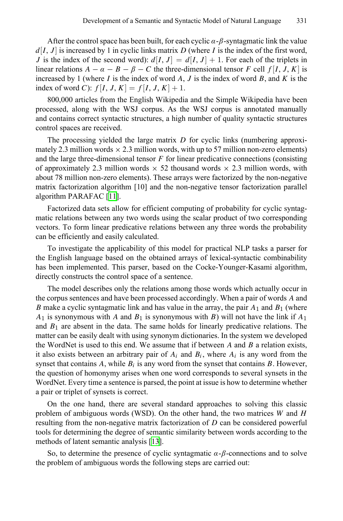After the control space has been built, for each cyclic  $\alpha$ - $\beta$ -syntagmatic link the value  $d[I, J]$  is increased by 1 in cyclic links matrix *D* (where *I* is the index of the first word, *J* is the index of the second word):  $d[I, J] = d[I, J] + 1$ . For each of the triplets in linear relations  $A - a - B - \beta - C$  the three-dimensional tensor *F* cell  $f[I, J, K]$  is increased by 1 (where *I* is the index of word *A*, *J* is the index of word *B*, and *K* is the index of word *C*):  $f[I, J, K] = f[I, J, K] + 1$ .

800,000 articles fr[om](#page-10-11) the English Wikipedia and the Simple Wikipedia have been processed, along with the WSJ corpus. As the WSJ corpus is annotated manually and contains correct syntactic structures, a high number of quality syntactic structures control spaces are received.

The processing yielded the large matrix *D* for cyclic links (numbering approximately 2.3 million words  $\times$  2.3 million words, with up to 57 million non-zero elements) and the large three-dimensional tensor *F* for linear predicative connections (consisting of approximately 2.3 million words  $\times$  52 thousand words  $\times$  2.3 million words, with about 78 million non-zero elements). These arrays were factorized by the non-negative matrix factorization algorithm [10] and the non-negative tensor factorization parallel algorithm PARAFAC [11].

Factorized data sets allow for efficient computing of probability for cyclic syntagmatic relations between any two words using the scalar product of two corresponding vectors. To form linear predicative relations between any three words the probability can be efficiently and easily calculated.

To investigate the applicability of this model for practical NLP tasks a parser for the English language based on the obtained arrays of lexical-syntactic combinability has been implemented. This parser, based on the Cocke-Younger-Kasami algorithm, directly constructs the control space of a sentence.

The model describes only the relations among those words which actually occur in the corpus sentences and have been processed accordingly. When a pair of words *A* and *B* make a cyclic syntagmatic link and has value in the array, the pair *A*1 and *B*1 (where  $A_1$  is synonymous with *A* and  $B_1$  is synonymous with *B*) will not have the link if  $A_1$ and  $B_1$  are absent in the data. The same holds for linearly predicative relations. The matter can be easily dealt with using synonym dictionaries. In the system we developed the WordNet is used to this end. We [ass](#page-11-0)ume that if between *A* and *B* a relation exists, it also exists between an arbitrary pair of  $A_i$  and  $B_i$ , where  $A_i$  is any word from the synset that contains  $A$ , while  $B_i$  is any word from the synset that contains  $B$ . However, the question of homonymy arises when one word corresponds to several synsets in the WordNet. Every time a sentence is parsed, the point at issue is how to determine whether a pair or triplet of synsets is correct.

On the one hand, there are several standard approaches to solving this classic problem of ambiguous words (WSD). On the other hand, the two matrices *W* and *H* resulting from the non-negative matrix factorization of *D* can be considered powerful tools for determining the degree of semantic similarity between words according to the methods of latent semantic analysis [13].

So, to determine the presence of cyclic syntagmatic *α*-*β*-connections and to solve the problem of ambiguous words the following steps are carried out: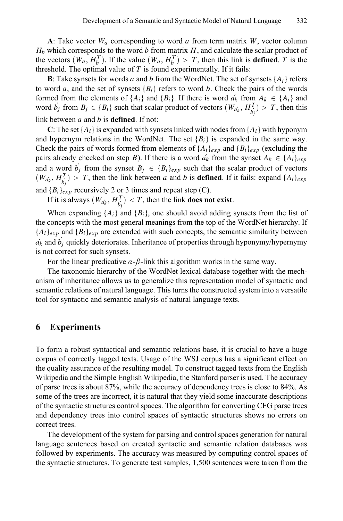**A**: Take vector  $W_a$  corresponding to word *a* from term matrix *W*, vector column  $H_b$  which corresponds to the word *b* from matrix  $H$ , and calculate the scalar product of the vectors  $(W_a, H_b^T)$ . If the value  $(W_a, H_b^T) > T$ , then this link is **defined**. *T* is the threshold. The optimal value of  $T$  is found experimentally. If it fails:

**B**: Take synsets for words *a* and *b* from the WordNet. The set of synsets  $\{A_i\}$  refers to word *a*, and the set of synsets  ${B_i}$  refers to word *b*. Check the pairs of the words formed from the elements of  $\{A_i\}$  and  $\{B_i\}$ . If there is word  $a'_k$  from  $A_k \in \{A_i\}$  and word  $\vec{b}_j$  from  $B_j \in \{B_i\}$  such that scalar product of vectors  $(W_{\vec{a}_k}, H_{\vec{b}_j}^T) > T$ , then this link between *a* and *b* is **defined**. If not:

**C**: The set { $A_i$ } is expanded with synsets linked with nodes from { $A_i$ } with hyponym and hypernym relations in the WordNet. The set  ${B_i}$  is expanded in the same way. Check the pairs of words formed from elements of  $\{A_i\}_{exp}$  and  $\{B_i\}_{exp}$  (excluding the pairs already checked on step *B*). If there is a word  $a'_{k}$  from the synset  $A_{k} \in \{A_{i}\}_{exp}$ and a word  $b_j$  from the synset  $B_j \in \{B_i\}_{exp}$  such that the scalar product of vectors  $(W_{a'_k}, H_{b'_j}^T) > T$ , then the link between *a* and *b* is **defined**. If it fails: expand  $\{A_i\}_{exp}$ and  ${B_i}_{exp}$  recursively 2 or 3 times and repeat step (C).

If it is always  $(W_{a'_k}, H_{b'_j}^T) < T$ , then the link **does not exist**.

When expanding  $\{A_i\}$  and  $\{B_i\}$ , one should avoid adding synsets from the list of the concepts with the most general meanings from the top of the WordNet hierarchy. If  ${A_i}_{exp}$  and  ${B_i}_{exp}$  are extended with such concepts, the semantic similarity between  $a'_{k}$  and  $b'_{j}$  quickly deteriorates. Inheritance of properties through hyponymy/hypernymy is not correct for such synsets.

For the linear predicative  $\alpha$ - $\beta$ -link this algorithm works in the same way.

The taxonomic hierarchy of the WordNet lexical database together with the mechanism of inheritance allows us to generalize this representation model of syntactic and semantic relations of natural language. This turns the constructed system into a versatile tool for syntactic and semantic analysis of natural language texts.

# **6 Experiments**

To form a robust syntactical and semantic relations base, it is crucial to have a huge corpus of correctly tagged texts. Usage of the WSJ corpus has a significant effect on the quality assurance of the resulting model. To construct tagged texts from the English Wikipedia and the Simple English Wikipedia, the Stanford parser is used. The accuracy of parse trees is about 87%, while the accuracy of dependency trees is close to 84%. As some of the trees are incorrect, it is natural that they yield some inaccurate descriptions of the syntactic structures control spaces. The algorithm for converting CFG parse trees and dependency trees into control spaces of syntactic structures shows no errors on correct trees.

The development of the system for parsing and control spaces generation for natural language sentences based on created syntactic and semantic relation databases was followed by experiments. The accuracy was measured by computing control spaces of the syntactic structures. To generate test samples, 1,500 sentences were taken from the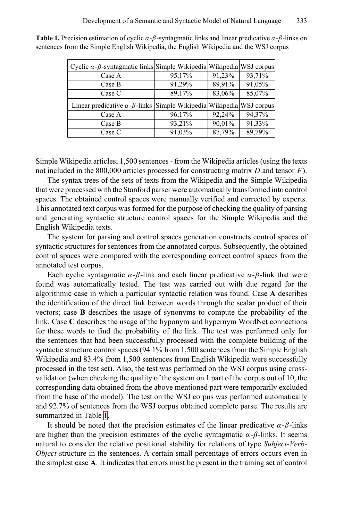| 95,17% | 91,23% | 93,71%                                                                                                                                                                   |
|--------|--------|--------------------------------------------------------------------------------------------------------------------------------------------------------------------------|
| 91,29% | 89,91% | 91,05%                                                                                                                                                                   |
| 89,17% | 83,06% | 85,07%                                                                                                                                                                   |
|        |        |                                                                                                                                                                          |
| 96,17% | 92,24% | 94,37%                                                                                                                                                                   |
|        |        |                                                                                                                                                                          |
| 93,21% | 90,01% | 91,33%                                                                                                                                                                   |
|        |        | Cyclic $\alpha$ - $\beta$ -syntagmatic links Simple Wikipedia Wikipedia WSJ corpus<br>Linear predicative $\alpha$ - $\beta$ -links Simple Wikipedia Wikipedia WSJ corpus |

<span id="page-9-0"></span>**Table 1.** Precision estimation of cyclic *α*-*β*-syntagmatic links and linear predicative *α*-*β*-links on sentences from the Simple English Wikipedia, the English Wikipedia and the WSJ corpus

Simple Wikipedia articles; 1,500 sentences - from the Wikipedia articles (using the texts not included in the 800,000 articles processed for constructing matrix *D* and tensor *F*).

The syntax trees of the sets of texts from the Wikipedia and the Simple Wikipedia that were processed with the Stanford parser were automatically transformed into control spaces. The obtained control spaces were manually verified and corrected by experts. This annotated text corpus was formed for the purpose of checking the quality of parsing and generating syntactic structure control spaces for the Simple Wikipedia and the English Wikipedia texts.

The system for parsing and control spaces generation constructs control spaces of syntactic structures for sentences from the annotated corpus. Subsequently, the obtained control spaces were compared with the corresponding correct control spaces from the annotated test corpus.

Each cyclic syntagmatic *α*-*β*-link and each linear predicative *α*-*β*-link that were found was automatically tested. The test was carried out with due regard for the algorithmic case in which a particular syntactic relation was found. Case **A** describes the identification of the direct link between words through the scalar product of their vectors; case **B** desc[rib](#page-9-0)es the usage of synonyms to compute the probability of the link. Case **C** describes the usage of the hyponym and hypernym WordNet connections for these words to find the probability of the link. The test was performed only for the sentences that had been successfully processed with the complete building of the syntactic structure control spaces (94.1% from 1,500 sentences from the Simple English Wikipedia and 83.4% from 1,500 sentences from English Wikipedia were successfully processed in the test set). Also, the test was performed on the WSJ corpus using crossvalidation (when checking the quality of the system on 1 part of the corpus out of 10, the corresponding data obtained from the above mentioned part were temporarily excluded from the base of the model). The test on the WSJ corpus was performed automatically and 92.7% of sentences from the WSJ corpus obtained complete parse. The results are summarized in Table 1.

It should be noted that the precision estimates of the linear predicative  $\alpha$ - $\beta$ -links are higher than the precision estimates of the cyclic syntagmatic  $\alpha$ - $\beta$ -links. It seems natural to consider the relative positional stability for relations of type *Subject-Verb-Object* structure in the sentences. A certain small percentage of errors occurs even in the simplest case **A**. It indicates that errors must be present in the training set of control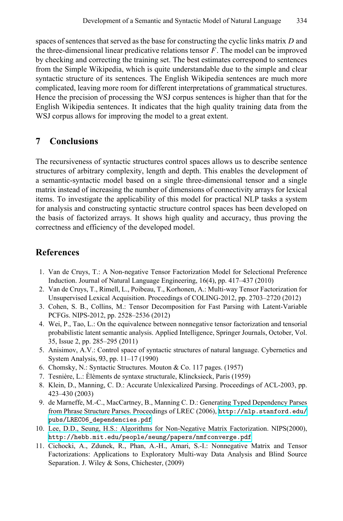spaces of sentences that served as the base for constructing the cyclic links matrix *D* and the three-dimensional linear predicative relations tensor *F*. The model can be improved by checking and correcting the training set. The best estimates correspond to sentences from the Simple Wikipedia, which is quite understandable due to the simple and clear syntactic structure of its sentences. The English Wikipedia sentences are much more complicated, leaving more room for different interpretations of grammatical structures. Hence the precision of processing the WSJ corpus sentences is higher than that for the English Wikipedia sentences. It indicates that the high quality training data from the WSJ corpus allows for improving the model to a great extent.

# <span id="page-10-4"></span>**7 Conclusions**

<span id="page-10-2"></span><span id="page-10-1"></span><span id="page-10-0"></span>The recursiveness of syntactic structures control spaces allows us to describe sentence structures of arbitrary complexity, length and depth. This enables the development of a semantic-syntactic model based on a single three-dimensional tensor and a single matrix instead of increasing the number of dimensions of connectivity arrays for lexical items. To investigate the applicability of this model for practical NLP tasks a system for analysis and constructing syntactic structure control spaces has been developed on the basis of factorized arrays. It shows high quality and accuracy, thus proving the correctness and efficiency of the developed model.

### <span id="page-10-7"></span><span id="page-10-3"></span>**References**

- <span id="page-10-6"></span><span id="page-10-5"></span>1. Van de Cruys, T.: A Non-negative Tensor Factorization Model for Selectional Preference Induction. Journal of Natural Language Engineering, 16(4), pp. 417–437 (2010)
- <span id="page-10-8"></span>2. Van de Cruys, T., Rimell, L., Poibeau, T., Korhonen, A.: Multi-way Tensor Factorization for Unsupervised Lexical Acquisition. Proceedings of COLING-2012, pp. 2703–2720 (2012)
- <span id="page-10-9"></span>3. Cohen, S. B., Collins, M.: Tensor Decomposition for Fas[t Parsing with Latent-Variable](http://nlp.stanford.edu/pubs/LREC06_dependencies.pdf) [PCFGs. NIPS-2012, pp. 2528–2536 \(](http://nlp.stanford.edu/pubs/LREC06_dependencies.pdf)2012)
- <span id="page-10-10"></span>4. Wei, P., Tao, L.: On the equivalence between nonnegative tensor factorization and tensorial [probabilistic latent semantic analysis. Applied Intelligence, Springer Jou](http://hebb.mit.edu/people/seung/papers/nmfconverge.pdf)rnals, October, Vol. 35, Issue 2, pp. 285–295 (2011)
- <span id="page-10-11"></span>5. Anisimov, A.V.: Control space of syntactic structures of natural language. Cybernetics and System Analysis, 93, pp. 11–17 (1990)
- 6. Chomsky, N.: Syntactic Structures. Mouton & Co. 117 pages. (1957)
- 7. Tesnière, L.: Èlèments de syntaxe structurale, Klincksieck, Paris (1959)
- 8. Klein, D., Manning, C. D.: Accurate Unlexicalized Parsing. Proceedings of ACL-2003, pp. 423–430 (2003)
- 9. de Marneffe, M.-C., MacCartney, B., Manning C. D.: Generating Typed Dependency Parses from Phrase Structure Parses. Proceedings of LREC (2006), http://nlp.stanford.edu/ pubs/LREC06\_dependencies.pdf
- 10. Lee, D.D., Seung, H.S.: Algorithms for Non-Negative Matrix Factorization. NIPS(2000), http://hebb.mit.edu/people/seung/papers/nmfconverge.pdf
- 11. Cichocki, A., Zdunek, R., Phan, A.-H., Amari, S.-I.: Nonnegative Matrix and Tensor Factorizations: Applications to Exploratory Multi-way Data Analysis and Blind Source Separation. J. Wiley & Sons, Chichester, (2009)